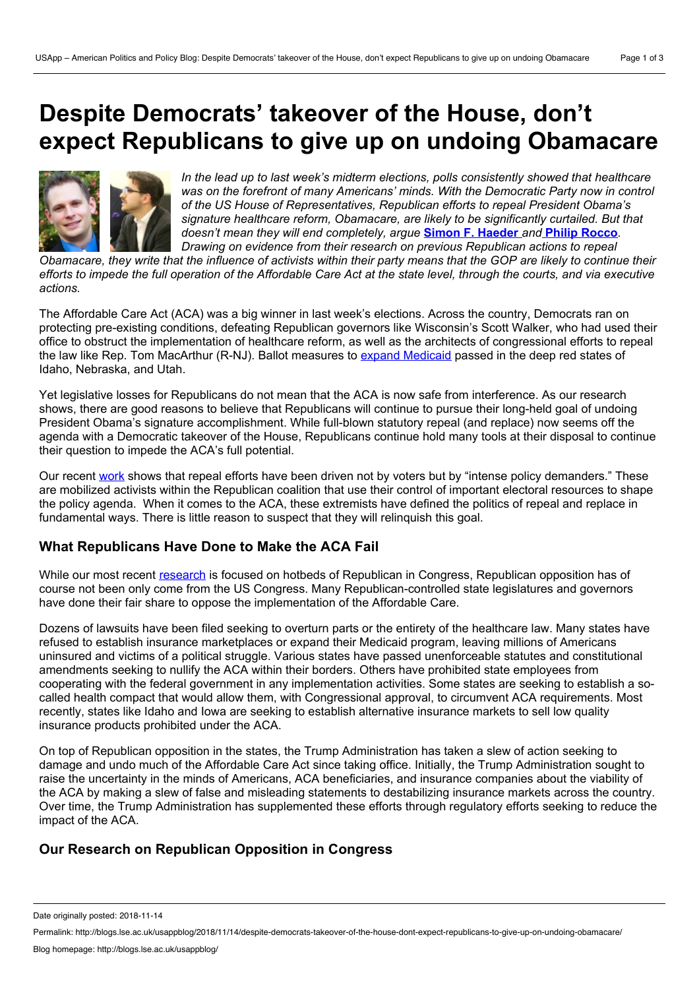# **Despite Democrats' takeover of the House, don't expect Republicans to give up on undoing Obamacare**



*In the lead up to last week's midterm elections, polls consistently showed that healthcare was on the forefront of many Americans' minds. With the Democratic Party now in control of the US House of Representatives, Republican efforts to repeal President Obama's signature healthcare reform, Obamacare, are likely to be significantly curtailed. But that doesn't mean they will end completely, argue* **Simon F. [Haeder](https://wp.me/p3I2YF-8jO#Author)** *and* **Philip [Rocco](https://wp.me/p3I2YF-8jO#Author)***. Drawing on evidence from their research on previous Republican actions to repeal*

Obamacare, they write that the influence of activists within their party means that the GOP are likely to continue their efforts to impede the full operation of the Affordable Care Act at the state level, through the courts, and via executive *actions.*

The Affordable Care Act (ACA) was a big winner in last week's elections. Across the country, Democrats ran on protecting pre-existing conditions, defeating Republican governors like Wisconsin's Scott Walker, who had used their office to obstruct the implementation of healthcare reform, as wellas the architects of congressional efforts to repeal the law like Rep. Tom MacArthur (R-NJ). Ballot measures to expand [Medicaid](https://www.vox.com/2018/11/7/18055848/medicaid-expansion-idaho-nebraska-utah) passed in the deep red states of Idaho, Nebraska, and Utah.

Yet legislative losses for Republicans do not mean that the ACA is now safe from interference. As our research shows, there are good reasons to believe that Republicans will continue to pursue their long-held goal of undoing President Obama's signature accomplishment. While full-blown statutory repeal (and replace) now seems off the agenda with a Democratic takeover of the House, Republicans continue hold many tools at their disposal to continue their question to impede the ACA's full potential.

Our recent [work](https://read.dukeupress.edu/jhppl/article-abstract/43/2/271/133583) shows that repeal efforts have been driven not by voters but by "intense policy demanders." These are mobilized activists within the Republican coalition that use their control of important electoral resources to shape the policy agenda. When it comes to the ACA, these extremists have defined the politics of repeal and replace in fundamental ways. There is little reason to suspect that they will relinquish this goal.

## **What Republicans Have Done to Make the ACA Fail**

While our most recent [research](https://read.dukeupress.edu/jhppl/article-abstract/43/2/271/133583) is focused on hotbeds of Republican in Congress, Republican opposition has of course not been only come from the US Congress. Many Republican-controlled state legislatures and governors have done their fair share to oppose the implementation of the Affordable Care.

Dozens of lawsuits have been filed seeking to overturn parts or the entirety of the healthcare law.Many states have refused to establish insurance marketplaces orexpand their Medicaid program, leaving millions of Americans uninsured and victims of a political struggle. Various states have passed unenforceable statutes and constitutional amendments seeking to nullify the ACA within their borders. Others have prohibited state employees from cooperating with the federal government in any implementation activities. Some states are seeking to establish a so called health compact that would allow them, with Congressional approval, to circumvent ACA requirements. Most recently, states like Idaho and Iowa are seeking to establish alternative insurance markets to sell low quality insurance products prohibited under the ACA.

On top of Republican opposition in the states, the Trump Administration has taken a slew of action seeking to damage and undo much of the Affordable Care Act since taking office. Initially, the Trump Administration sought to raise the uncertainty in the minds of Americans, ACA beneficiaries, and insurance companies about the viability of the ACA by making a slew of false and misleading statements to destabilizing insurance markets across the country. Over time, the Trump Administration has supplemented these efforts through regulatory efforts seeking to reduce the impact of the ACA.

## **Our Research on Republican Opposition in Congress**

Date originally posted: 2018-11-14

Permalink: http://blogs.lse.ac.uk/usappblog/2018/11/14/despite-democrats-takeover-of-the-house-dont-expect-republicans-to-give-up-on-undoing-obamacare/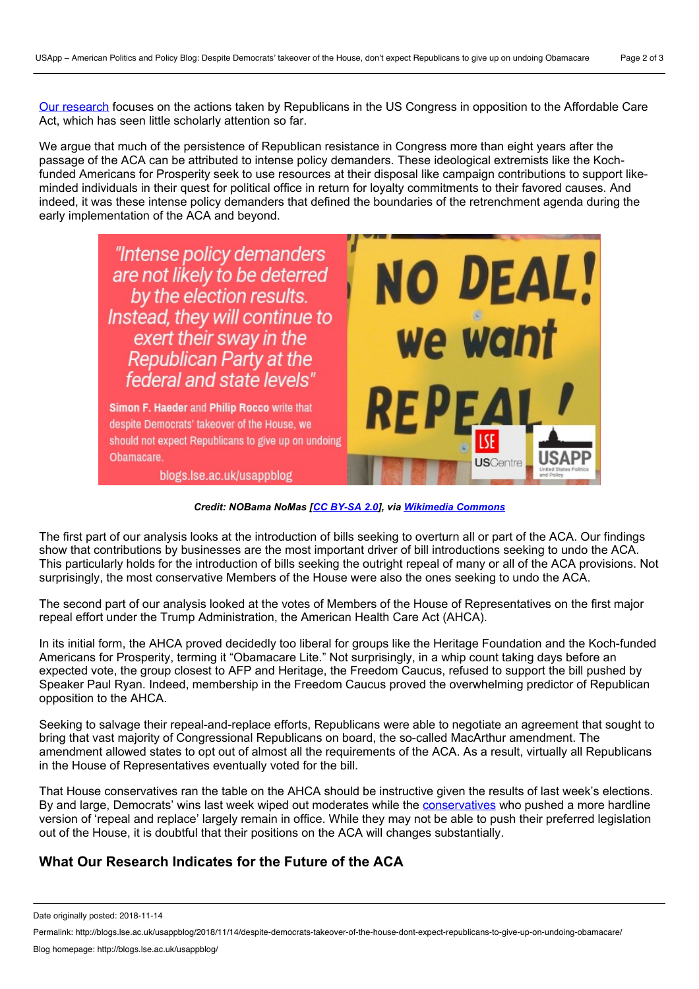Our [research](https://read.dukeupress.edu/jhppl/article-abstract/43/2/271/133583) focuses on the actions taken by Republicans in the US Congress in opposition to the Affordable Care Act, which has seen little scholarly attention so far.

We argue that much of the persistence of Republican resistance in Congress more than eight years after the passage of the ACA can be attributed to intense policy demanders. These ideological extremists like the Kochfunded Americans for Prosperity seek to use resources at their disposal like campaign contributions to support like minded individuals in their quest for political office in return for loyalty commitments to their favored causes. And indeed, it was these intense policy demanders that defined the boundaries of the retrenchment agenda during the early implementation of the ACA and beyond.



*Credit: NOBama NoMas [CC [BY-SA](https://creativecommons.org/licenses/by-sa/2.0) 2.0], via [Wikimedia](https://commons.wikimedia.org/wiki/File:Repeal_ObamaCare_(4527428186).jpg) Commons*

The first part of our analysis looks at the introduction of bills seeking to overturn all or part of the ACA. Our findings show that contributions by businesses are the most important driver of bill introductions seeking to undo the ACA. This particularly holds for the introduction of bills seeking the outright repeal of many or all of the ACA provisions. Not surprisingly, the most conservative Members of the House were also the ones seeking to undo the ACA.

The second part of our analysis looked at the votes of Members of the House of Representatives on the first major repeal effort under the Trump Administration, the American Health Care Act (AHCA).

In its initial form, the AHCA proved decidedly too liberal for groups like the Heritage Foundation and the Koch-funded Americans for Prosperity, terming it "Obamacare Lite." Not surprisingly, in a whip count taking days before an expected vote, the group closest to AFP and Heritage, the Freedom Caucus, refused to support the bill pushed by Speaker Paul Ryan. Indeed, membership in the Freedom Caucus proved the overwhelming predictor of Republican opposition to the AHCA.

Seeking to salvage their repeal-and-replace efforts, Republicans were able to negotiate an agreement that sought to bring that vast majority of Congressional Republicans on board, the so-called MacArthur amendment. The amendment allowed states to opt out of almost all the requirements of the ACA. As a result, virtually all Republicans in the House of Representatives eventually voted for the bill.

That House conservatives ran the table on the AHCA should be instructive given the results of last week's elections. By and large, Democrats' wins last week wiped out moderates while the [conservatives](https://thehill.com/homenews/house/415922-dem-wins-leave-behind-a-more-conservative-gop-conference) who pushed a more hardline version of 'repeal and replace' largely remain in office. While they may not be able to push their preferred legislation out of the House, it is doubtful that their positions on the ACA will changes substantially.

## **What Our Research Indicates for the Future of the ACA**

Date originally posted: 2018-11-14

Permalink: http://blogs.lse.ac.uk/usappblog/2018/11/14/despite-democrats-takeover-of-the-house-dont-expect-republicans-to-give-up-on-undoing-obamacare/